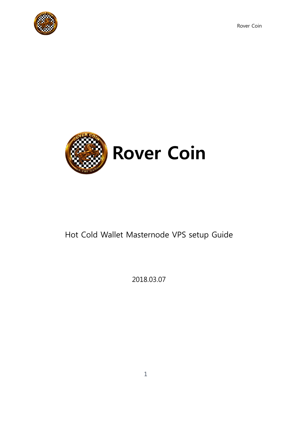Rover Coin





# Hot Cold Wallet Masternode VPS setup Guide

2018.03.07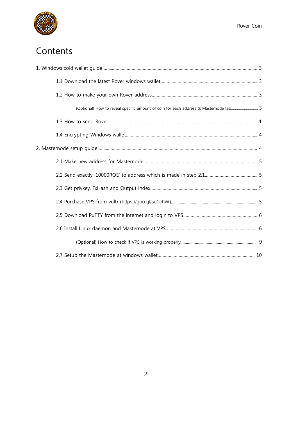

# **Contents**

| (Optional) How to reveal specific amount of coin for each address & Masternode tab 3 |  |
|--------------------------------------------------------------------------------------|--|
|                                                                                      |  |
|                                                                                      |  |
|                                                                                      |  |
|                                                                                      |  |
|                                                                                      |  |
|                                                                                      |  |
|                                                                                      |  |
|                                                                                      |  |
|                                                                                      |  |
|                                                                                      |  |
|                                                                                      |  |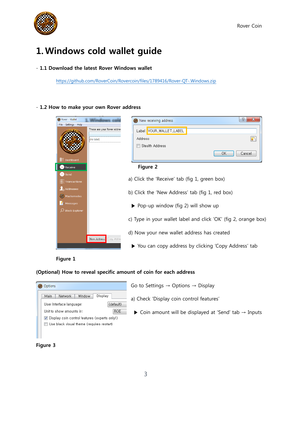

## **1.Windows cold wallet guide**

#### - **1.1 Download the latest Rover Windows wallet**

<https://github.com/RoverCoin/Rovercoin/files/1789416/Rover-QT-.Windows.zip>

#### - **1.2 How to make your own Rover address**





#### **(Optional) How to reveal specific amount of coin for each address**



**Figure 3**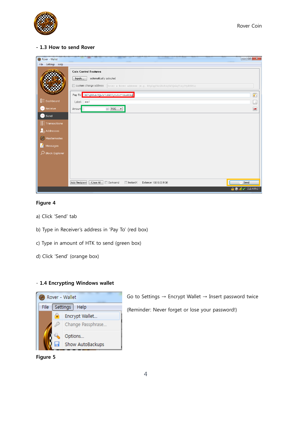

#### **- 1.3 How to send Rover**

| Rover - Wallet                   |                                                                                                                                                           | $\mathbf{x}$                                              |
|----------------------------------|-----------------------------------------------------------------------------------------------------------------------------------------------------------|-----------------------------------------------------------|
| File Settings Help               |                                                                                                                                                           |                                                           |
|                                  | <b>Coin Control Features</b><br>automatically selected<br>Inputs<br>Custom change address Enter a Rover address (e.g. R8gZqgY4r2RoEdqYk3QsAqFckyf9pRHN6i) |                                                           |
| <b>BEE</b> Dashboard             | Pay To: RX7qD2LdcTQbJr7cK4VJy8oHrC72AzW1Xg                                                                                                                | n                                                         |
|                                  | Label: mn1                                                                                                                                                | Ŀo                                                        |
| Receive                          | $\sqrt{2}$ ROE $\rightarrow$<br>Amount                                                                                                                    | $\blacksquare$                                            |
| Send                             |                                                                                                                                                           |                                                           |
| <b>E</b> : Transactions          |                                                                                                                                                           |                                                           |
| $\mathcal{L}_{\oplus}$ Addresses |                                                                                                                                                           |                                                           |
| Masternodes                      |                                                                                                                                                           |                                                           |
| И<br>Messages                    |                                                                                                                                                           |                                                           |
| O Block Explorer                 |                                                                                                                                                           |                                                           |
|                                  |                                                                                                                                                           |                                                           |
|                                  |                                                                                                                                                           |                                                           |
|                                  |                                                                                                                                                           |                                                           |
|                                  |                                                                                                                                                           |                                                           |
|                                  | Add Recipient<br>Clear All<br>□ InstantX<br>Darksend<br>Balance: 10010,00 ROE                                                                             | Send                                                      |
|                                  |                                                                                                                                                           | $\frac{1}{2}$ $\circ$ $\frac{1}{2}$ $\checkmark$ CLEARNET |

#### **Figure 4**

- a) Click 'Send' tab
- b) Type in Receiver's address in 'Pay To' (red box)
- c) Type in amount of HTK to send (green box)
- d) Click 'Send' (orange box)

#### - **1.4 Encrypting Windows wallet**



Go to Settings → Encrypt Wallet → Insert password twice

(Reminder: Never forget or lose your password!)

**Figure 5**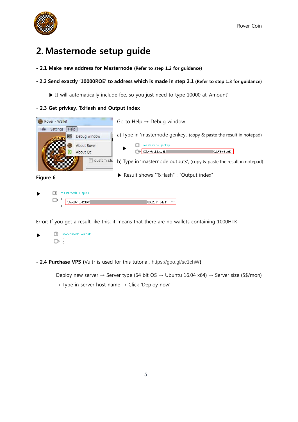

## **2.Masternode setup guide**

- **- 2.1 Make new address for Masternode (Refer to step 1.2 for guidance)**
- **- 2.2 Send exactly '10000ROE' to address which is made in step 2.1 (Refer to step 1.3 for guidance)**
	- ▶ It will automatically include fee, so you just need to type 10000 at 'Amount'

#### - **2.3 Get privkey, TxHash and Output index**



Error: If you get a result like this, it means that there are no wallets containing 1000HTK

masternode outputs ▶  $\mathbb{G}$  :

**- 2.4 Purchase VPS (**Vultr is used for this tutorial**,** https://goo.gl/sc1chW**)**

Deploy new server  $\rightarrow$  Server type (64 bit OS  $\rightarrow$  Ubuntu 16.04 x64)  $\rightarrow$  Server size (5\$/mon)

 $\rightarrow$  Type in server host name  $\rightarrow$  Click 'Deploy now'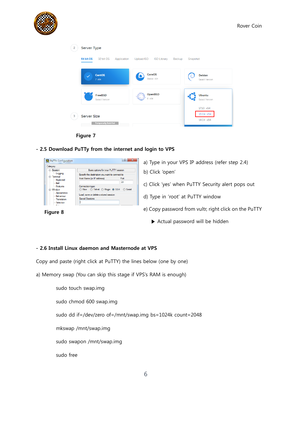





**- 2.5 Download PuTTy from the internet and login to VPS**



- a) Type in your VPS IP address (refer step 2.4)
- b) Click 'open'
- c) Click 'yes' when PuTTY Security alert pops out
- d) Type in 'root' at PuTTY window
- e) Copy password from vultr, right click on the PuTTY
	- ▶ Actual password will be hidden

#### **- 2.6 Install Linux daemon and Masternode at VPS**

Copy and paste (right click at PuTTY) the lines below (one by one)

a) Memory swap (You can skip this stage if VPS's RAM is enough)

sudo touch swap.img sudo chmod 600 swap.img sudo dd if=/dev/zero of=/mnt/swap.img bs=1024k count=2048 mkswap /mnt/swap.img sudo swapon /mnt/swap.img sudo free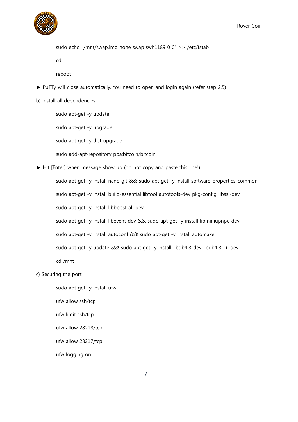

sudo echo "/mnt/swap.img none swap swh1189 0 0" >> /etc/fstab

cd

reboot

▶ PuTTy will close automatically. You need to open and login again (refer step 2.5)

b) Install all dependencies

sudo apt-get -y update sudo apt-get -y upgrade sudo apt-get -y dist-upgrade sudo add-apt-repository ppa:bitcoin/bitcoin

▶ Hit [Enter] when message show up (do not copy and paste this line!)

sudo apt-get -y install nano git && sudo apt-get -y install software-properties-common

sudo apt-get -y install build-essential libtool autotools-dev pkg-config libssl-dev

sudo apt-get -y install libboost-all-dev

sudo apt-get -y install libevent-dev && sudo apt-get -y install libminiupnpc-dev

sudo apt-get -y install autoconf && sudo apt-get -y install automake

sudo apt-get -y update && sudo apt-get -y install libdb4.8-dev libdb4.8++-dev

cd /mnt

#### c) Securing the port

sudo apt-get -y install ufw

ufw allow ssh/tcp

ufw limit ssh/tcp

ufw allow 28218/tcp

ufw allow 28217/tcp

ufw logging on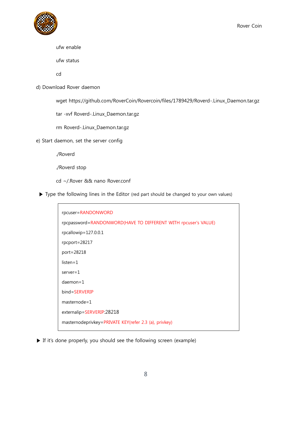

```
ufw enable
```
ufw status

cd

d) Download Rover daemon

wget https://github.com/RoverCoin/Rovercoin/files/1789429/Roverd-.Linux\_Daemon.tar.gz

tar -xvf Roverd-.Linux\_Daemon.tar.gz

rm Roverd-.Linux\_Daemon.tar.gz

e) Start daemon, set the server config

./Roverd

```
./Roverd stop
```
- cd ~/.Rover && nano Rover.conf
- ▶ Type the following lines in the Editor (red part should be changed to your own values)

| rpcuser=RANDONWORD                                             |
|----------------------------------------------------------------|
| rpcpassword=RANDONWORD(HAVE TO DIFFERENT WITH rpcuser's VALUE) |
| rpcallowip=127.0.0.1                                           |
| rpcport=28217                                                  |
| port=28218                                                     |
| $listen = 1$                                                   |
| $server = 1$                                                   |
| $d$ aemon= $1$                                                 |
| bind=SERVERIP                                                  |
| $masternode = 1$                                               |
| externalip=SERVERIP:28218                                      |
| masternodeprivkey=PRIVATE KEY(refer 2.3 (a), privkey)          |
|                                                                |

▶ If it's done properly, you should see the following screen (example)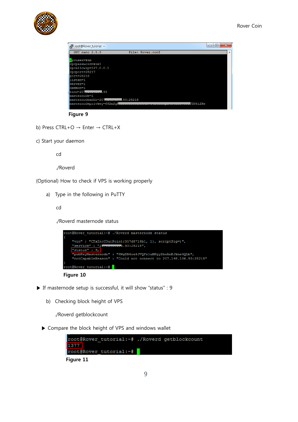

| root@Rover_tutorial: ~          |                  | $\mathbf{x}$<br>回<br>$\Box$ |
|---------------------------------|------------------|-----------------------------|
| GNU nano 2.5.3                  | File: Rover.conf | ▲                           |
| rpcuser=kim<br>rpcpassword=kim1 |                  |                             |
| rpcallowip=127.0.0.1            |                  |                             |
| rpcport=28217                   |                  |                             |
| port=28218                      |                  |                             |
| listen=1                        |                  |                             |
| server=1                        |                  |                             |
| daemon=1                        |                  |                             |
| $bind = 201$<br>. 93            |                  |                             |
| masternode=1                    |                  |                             |
| 93:28218<br>masternodeaddr=207  |                  |                             |
| masternodeprivkey=692m2qH       |                  | <b>JYH6i2Xe</b>             |



- b) Press CTRL+O → Enter → CTRL+X
- c) Start your daemon

cd

./Roverd

(Optional) How to check if VPS is working properly

a) Type in the following in PuTTY

cd

./Roverd masternode status





- ▶ If masternode setup is successful, it will show "status" : 9
	- b) Checking block height of VPS

./Roverd getblockcount

▶ Compare the block height of VPS and windows wallet

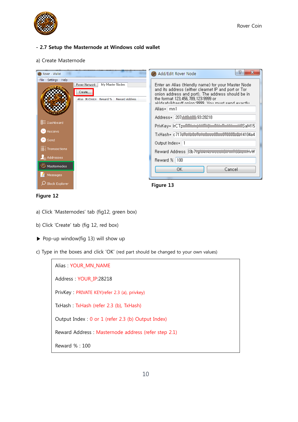

#### **- 2.7 Setup the Masternode at Windows cold wallet**

#### a) Create Masternode

| Rover - Wallet                                                                                                                               |                                                                                                       | Ð<br>$\mathbf{x}$<br>Add/Edit Rover Node                                                                                                                                                                                                                                                                                                                                                                                                                                                                     |
|----------------------------------------------------------------------------------------------------------------------------------------------|-------------------------------------------------------------------------------------------------------|--------------------------------------------------------------------------------------------------------------------------------------------------------------------------------------------------------------------------------------------------------------------------------------------------------------------------------------------------------------------------------------------------------------------------------------------------------------------------------------------------------------|
| Settings Help<br>File<br><b>HE Dashboard</b><br>Receive<br>$\bigcirc$ Send<br><b>E.</b> Transactions<br>Addresses<br>Masternodes<br>Messages | <b>Rover Network</b><br>Mv Master Nodes<br>Create<br>Alias IP/Onion Reward %<br><b>Reward Address</b> | Enter an Alias (friendly name) for your Master Node<br>and its address (either clearnet IP and port or Tor<br>onion address and port). The address should be in-<br>the format 123, 456, 789, 123:9999 or<br>akideafyikhaedf onion:9999. Vou must sand avactlu.<br>Alias* Imn1<br>Address* 207 110 100 93:28218<br>PrivKey* IrCTpuRRing WiTh War<br>ISaM15'<br>TxHash* c717dTullutuTulutumum<br>14104a4<br>Output Index* 1<br>Reward Address 33b7.grvm.wowdowom.wmoowuwHvW<br>Reward %   100<br>OK<br>Cancel |
| <b>Block Explorer</b>                                                                                                                        |                                                                                                       | Figure 13                                                                                                                                                                                                                                                                                                                                                                                                                                                                                                    |

**Figure 12**

- a) Click 'Masternodes' tab (fig12, green box)
- b) Click 'Create' tab (fig 12, red box)
- ▶ Pop-up window(fig 13) will show up
- c) Type in the boxes and click 'OK' (red part should be changed to your own values)

| Alias: YOUR MN NAME                                 |
|-----------------------------------------------------|
| Address: YOUR IP:28218                              |
| PrivKey: PRIVATE KEY(refer 2.3 (a), privkey)        |
| TxHash: TxHash (refer 2.3 (b), TxHash)              |
| Output Index : 0 or 1 (refer 2.3 (b) Output Index)  |
| Reward Address: Masternode address (refer step 2.1) |
| Reward % : 100                                      |